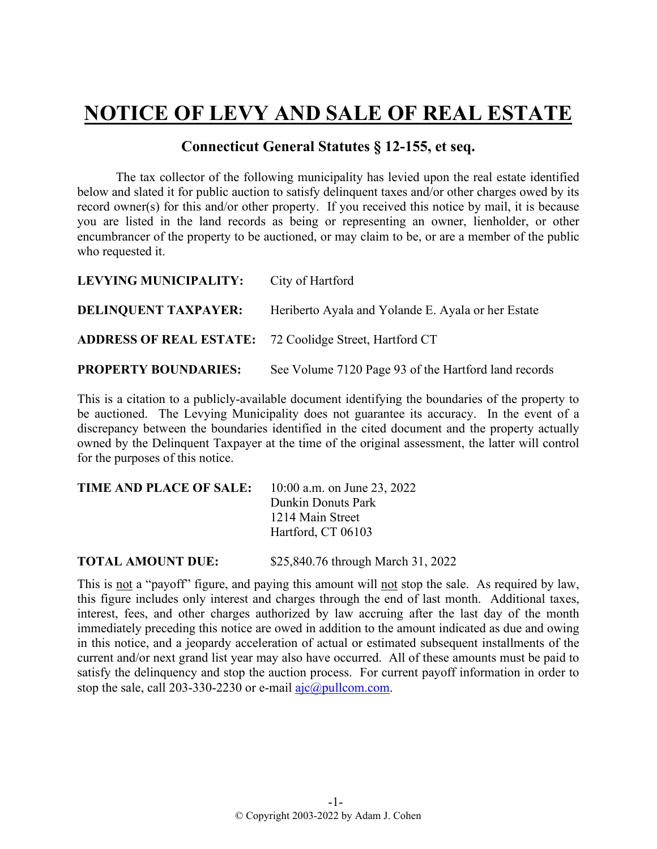## **NOTICE OF LEVY AND SALE OF REAL ESTATE**

## **Connecticut General Statutes § 12-155, et seq.**

The tax collector of the following municipality has levied upon the real estate identified below and slated it for public auction to satisfy delinquent taxes and/or other charges owed by its record owner(s) for this and/or other property. If you received this notice by mail, it is because you are listed in the land records as being or representing an owner, lienholder, or other encumbrancer of the property to be auctioned, or may claim to be, or are a member of the public who requested it.

| LEVYING MUNICIPALITY:                                          | City of Hartford                                     |
|----------------------------------------------------------------|------------------------------------------------------|
| <b>DELINQUENT TAXPAYER:</b>                                    | Heriberto Ayala and Yolande E. Ayala or her Estate   |
| <b>ADDRESS OF REAL ESTATE:</b> 72 Coolidge Street, Hartford CT |                                                      |
| <b>PROPERTY BOUNDARIES:</b>                                    | See Volume 7120 Page 93 of the Hartford land records |

This is a citation to a publicly-available document identifying the boundaries of the property to be auctioned. The Levying Municipality does not guarantee its accuracy. In the event of a discrepancy between the boundaries identified in the cited document and the property actually owned by the Delinquent Taxpayer at the time of the original assessment, the latter will control for the purposes of this notice.

| TIME AND PLACE OF SALE: | 10:00 a.m. on June 23, 2022 |
|-------------------------|-----------------------------|
|                         | Dunkin Donuts Park          |
|                         | 1214 Main Street            |
|                         | Hartford, CT 06103          |
|                         |                             |

**TOTAL AMOUNT DUE:** \$25,840.76 through March 31, 2022

This is not a "payoff" figure, and paying this amount will not stop the sale. As required by law, this figure includes only interest and charges through the end of last month. Additional taxes, interest, fees, and other charges authorized by law accruing after the last day of the month immediately preceding this notice are owed in addition to the amount indicated as due and owing in this notice, and a jeopardy acceleration of actual or estimated subsequent installments of the current and/or next grand list year may also have occurred. All of these amounts must be paid to satisfy the delinquency and stop the auction process. For current payoff information in order to stop the sale, call 203-330-2230 or e-mail  $a$ jc $@p$ ullcom.com.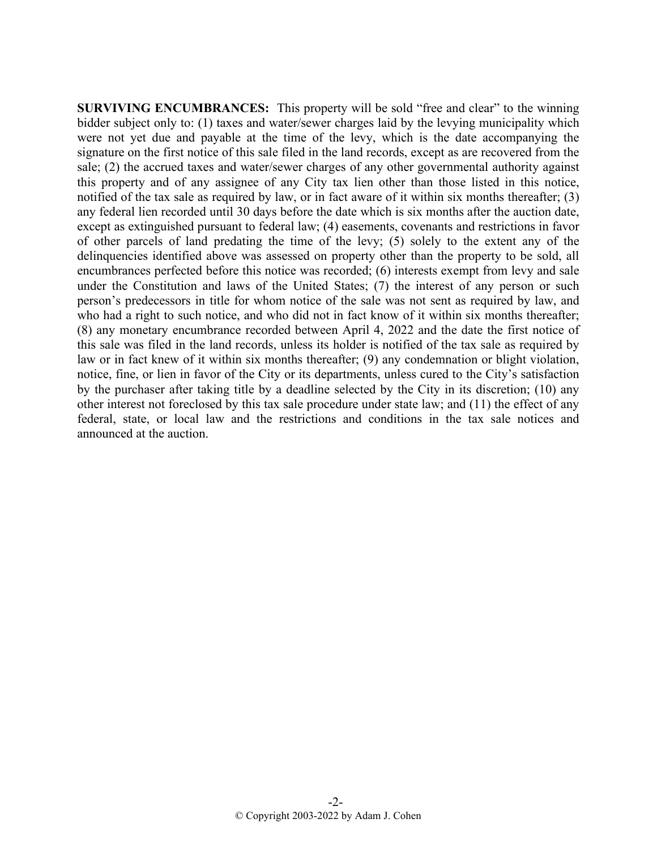**SURVIVING ENCUMBRANCES:** This property will be sold "free and clear" to the winning bidder subject only to: (1) taxes and water/sewer charges laid by the levying municipality which were not yet due and payable at the time of the levy, which is the date accompanying the signature on the first notice of this sale filed in the land records, except as are recovered from the sale; (2) the accrued taxes and water/sewer charges of any other governmental authority against this property and of any assignee of any City tax lien other than those listed in this notice, notified of the tax sale as required by law, or in fact aware of it within six months thereafter; (3) any federal lien recorded until 30 days before the date which is six months after the auction date, except as extinguished pursuant to federal law; (4) easements, covenants and restrictions in favor of other parcels of land predating the time of the levy; (5) solely to the extent any of the delinquencies identified above was assessed on property other than the property to be sold, all encumbrances perfected before this notice was recorded; (6) interests exempt from levy and sale under the Constitution and laws of the United States; (7) the interest of any person or such person's predecessors in title for whom notice of the sale was not sent as required by law, and who had a right to such notice, and who did not in fact know of it within six months thereafter; (8) any monetary encumbrance recorded between April 4, 2022 and the date the first notice of this sale was filed in the land records, unless its holder is notified of the tax sale as required by law or in fact knew of it within six months thereafter; (9) any condemnation or blight violation, notice, fine, or lien in favor of the City or its departments, unless cured to the City's satisfaction by the purchaser after taking title by a deadline selected by the City in its discretion; (10) any other interest not foreclosed by this tax sale procedure under state law; and (11) the effect of any federal, state, or local law and the restrictions and conditions in the tax sale notices and announced at the auction.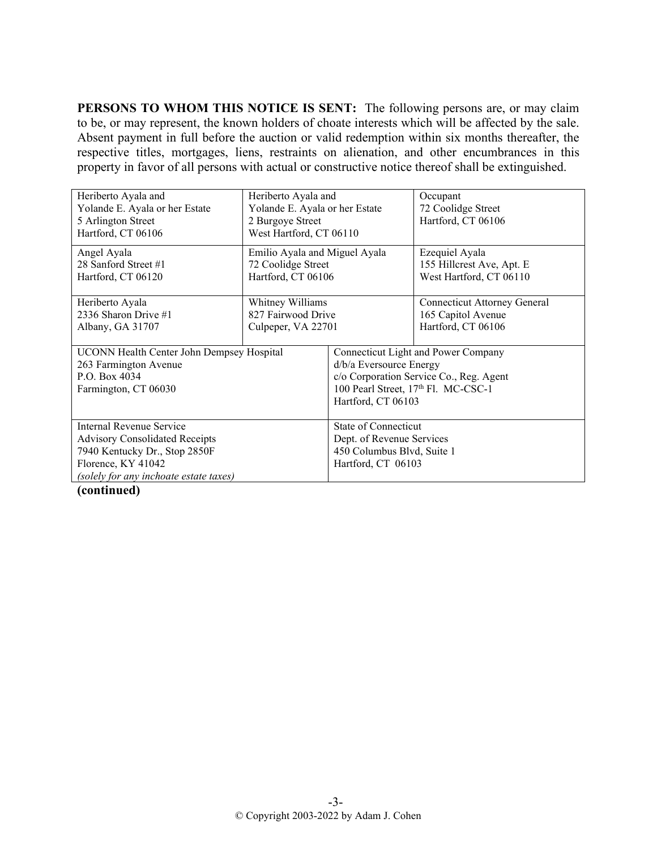**PERSONS TO WHOM THIS NOTICE IS SENT:** The following persons are, or may claim to be, or may represent, the known holders of choate interests which will be affected by the sale. Absent payment in full before the auction or valid redemption within six months thereafter, the respective titles, mortgages, liens, restraints on alienation, and other encumbrances in this property in favor of all persons with actual or constructive notice thereof shall be extinguished.

| Heriberto Ayala and<br>Yolande E. Ayala or her Estate<br>5 Arlington Street<br>Hartford, CT 06106                                                                  | Heriberto Ayala and<br>Yolande E. Ayala or her Estate<br>2 Burgoye Street<br>West Hartford, CT 06110 |                                                                                                                                                                                    | Occupant<br>72 Coolidge Street<br>Hartford, CT 06106                            |
|--------------------------------------------------------------------------------------------------------------------------------------------------------------------|------------------------------------------------------------------------------------------------------|------------------------------------------------------------------------------------------------------------------------------------------------------------------------------------|---------------------------------------------------------------------------------|
| Angel Ayala<br>28 Sanford Street #1<br>Hartford, CT 06120                                                                                                          | Emilio Ayala and Miguel Ayala<br>72 Coolidge Street<br>Hartford, CT 06106                            |                                                                                                                                                                                    | Ezequiel Ayala<br>155 Hillcrest Ave, Apt. E<br>West Hartford, CT 06110          |
| Heriberto Ayala<br>2336 Sharon Drive #1<br>Albany, GA 31707                                                                                                        | Whitney Williams<br>827 Fairwood Drive<br>Culpeper, VA 22701                                         |                                                                                                                                                                                    | <b>Connecticut Attorney General</b><br>165 Capitol Avenue<br>Hartford, CT 06106 |
| UCONN Health Center John Dempsey Hospital<br>263 Farmington Avenue<br>P.O. Box 4034<br>Farmington, CT 06030                                                        |                                                                                                      | Connecticut Light and Power Company<br>d/b/a Eversource Energy<br>c/o Corporation Service Co., Reg. Agent<br>100 Pearl Street, 17 <sup>th</sup> Fl. MC-CSC-1<br>Hartford, CT 06103 |                                                                                 |
| Internal Revenue Service<br><b>Advisory Consolidated Receipts</b><br>7940 Kentucky Dr., Stop 2850F<br>Florence, KY 41042<br>(solely for any inchoate estate taxes) |                                                                                                      | State of Connecticut<br>Dept. of Revenue Services<br>450 Columbus Blvd, Suite 1<br>Hartford, CT 06103                                                                              |                                                                                 |

**(continued)**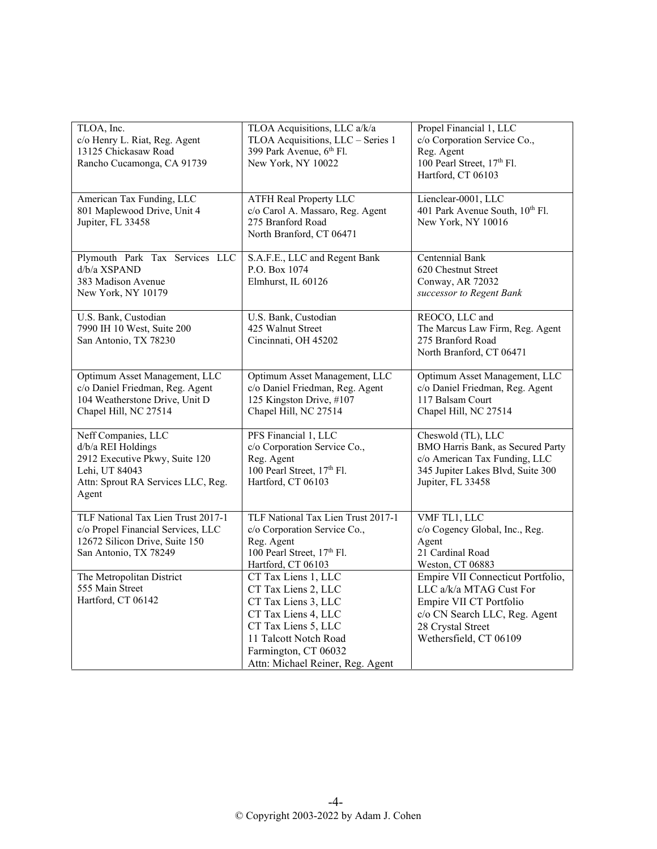| TLOA, Inc.<br>c/o Henry L. Riat, Reg. Agent<br>13125 Chickasaw Road<br>Rancho Cucamonga, CA 91739                                            | TLOA Acquisitions, LLC a/k/a<br>TLOA Acquisitions, LLC - Series 1<br>399 Park Avenue, 6th Fl.<br>New York, NY 10022                                                                                  | Propel Financial 1, LLC<br>c/o Corporation Service Co.,<br>Reg. Agent<br>100 Pearl Street, 17 <sup>th</sup> Fl.<br>Hartford, CT 06103                                   |
|----------------------------------------------------------------------------------------------------------------------------------------------|------------------------------------------------------------------------------------------------------------------------------------------------------------------------------------------------------|-------------------------------------------------------------------------------------------------------------------------------------------------------------------------|
| American Tax Funding, LLC<br>801 Maplewood Drive, Unit 4<br>Jupiter, FL 33458                                                                | <b>ATFH Real Property LLC</b><br>c/o Carol A. Massaro, Reg. Agent<br>275 Branford Road<br>North Branford, CT 06471                                                                                   | Lienclear-0001, LLC<br>401 Park Avenue South, 10 <sup>th</sup> Fl.<br>New York, NY 10016                                                                                |
| Plymouth Park Tax Services LLC<br>d/b/a XSPAND<br>383 Madison Avenue<br>New York, NY 10179                                                   | S.A.F.E., LLC and Regent Bank<br>P.O. Box 1074<br>Elmhurst, IL 60126                                                                                                                                 | Centennial Bank<br>620 Chestnut Street<br>Conway, AR 72032<br>successor to Regent Bank                                                                                  |
| U.S. Bank, Custodian<br>7990 IH 10 West, Suite 200<br>San Antonio, TX 78230                                                                  | U.S. Bank, Custodian<br>425 Walnut Street<br>Cincinnati, OH 45202                                                                                                                                    | REOCO, LLC and<br>The Marcus Law Firm, Reg. Agent<br>275 Branford Road<br>North Branford, CT 06471                                                                      |
| Optimum Asset Management, LLC<br>c/o Daniel Friedman, Reg. Agent<br>104 Weatherstone Drive, Unit D<br>Chapel Hill, NC 27514                  | Optimum Asset Management, LLC<br>c/o Daniel Friedman, Reg. Agent<br>125 Kingston Drive, #107<br>Chapel Hill, NC 27514                                                                                | Optimum Asset Management, LLC<br>c/o Daniel Friedman, Reg. Agent<br>117 Balsam Court<br>Chapel Hill, NC 27514                                                           |
| Neff Companies, LLC<br>d/b/a REI Holdings<br>2912 Executive Pkwy, Suite 120<br>Lehi, UT 84043<br>Attn: Sprout RA Services LLC, Reg.<br>Agent | PFS Financial 1, LLC<br>c/o Corporation Service Co.,<br>Reg. Agent<br>100 Pearl Street, 17 <sup>th</sup> Fl.<br>Hartford, CT 06103                                                                   | Cheswold (TL), LLC<br>BMO Harris Bank, as Secured Party<br>c/o American Tax Funding, LLC<br>345 Jupiter Lakes Blvd, Suite 300<br>Jupiter, FL 33458                      |
| TLF National Tax Lien Trust 2017-1<br>c/o Propel Financial Services, LLC<br>12672 Silicon Drive, Suite 150<br>San Antonio, TX 78249          | TLF National Tax Lien Trust 2017-1<br>c/o Corporation Service Co.,<br>Reg. Agent<br>100 Pearl Street, 17th Fl.<br>Hartford, CT 06103                                                                 | VMF TL1, LLC<br>c/o Cogency Global, Inc., Reg.<br>Agent<br>21 Cardinal Road<br>Weston, CT 06883                                                                         |
| The Metropolitan District<br>555 Main Street<br>Hartford, CT 06142                                                                           | CT Tax Liens 1, LLC<br>CT Tax Liens 2, LLC<br>CT Tax Liens 3, LLC<br>CT Tax Liens 4, LLC<br>CT Tax Liens 5, LLC<br>11 Talcott Notch Road<br>Farmington, CT 06032<br>Attn: Michael Reiner, Reg. Agent | Empire VII Connecticut Portfolio,<br>LLC a/k/a MTAG Cust For<br>Empire VII CT Portfolio<br>c/o CN Search LLC, Reg. Agent<br>28 Crystal Street<br>Wethersfield, CT 06109 |